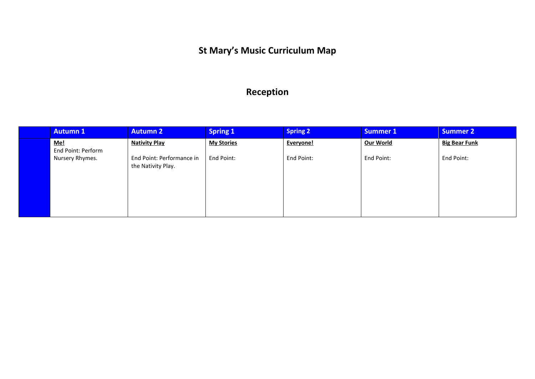### **St Mary's Music Curriculum Map**

### **Reception**

| <b>Autumn 1</b>           | <b>Autumn 2</b>                                 | <b>Spring 1</b>   | <b>Spring 2</b> | <b>Summer 1</b> | <b>Summer 2</b>      |
|---------------------------|-------------------------------------------------|-------------------|-----------------|-----------------|----------------------|
| Me!<br>End Point: Perform | <b>Nativity Play</b>                            | <b>My Stories</b> | Everyone!       | Our World       | <b>Big Bear Funk</b> |
| Nursery Rhymes.           | End Point: Performance in<br>the Nativity Play. | End Point:        | End Point:      | End Point:      | End Point:           |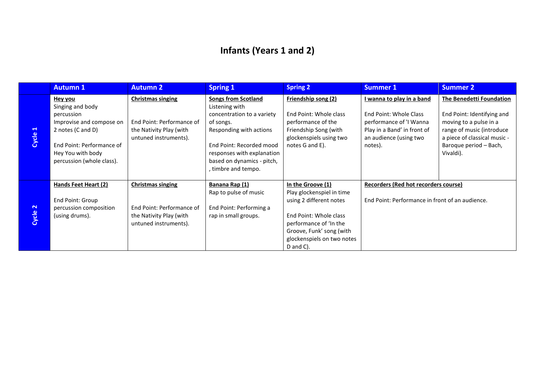# **Infants (Years 1 and 2)**

|                                 | <b>Autumn 1</b>                                                                                                                                                                  | <b>Autumn 2</b>                                                                                           | <b>Spring 1</b>                                                                                                                                                                                                                 | <b>Spring 2</b>                                                                                                                                                                                      | <b>Summer 1</b>                                                                                                                                           | <b>Summer 2</b>                                                                                                                                                                      |
|---------------------------------|----------------------------------------------------------------------------------------------------------------------------------------------------------------------------------|-----------------------------------------------------------------------------------------------------------|---------------------------------------------------------------------------------------------------------------------------------------------------------------------------------------------------------------------------------|------------------------------------------------------------------------------------------------------------------------------------------------------------------------------------------------------|-----------------------------------------------------------------------------------------------------------------------------------------------------------|--------------------------------------------------------------------------------------------------------------------------------------------------------------------------------------|
| $\blacktriangleleft$<br>Cycle : | <b>Hey you</b><br>Singing and body<br>percussion<br>Improvise and compose on<br>2 notes (C and D)<br>End Point: Performance of<br>Hey You with body<br>percussion (whole class). | <b>Christmas singing</b><br>End Point: Performance of<br>the Nativity Play (with<br>untuned instruments). | <b>Songs from Scotland</b><br>Listening with<br>concentration to a variety<br>of songs.<br>Responding with actions<br>End Point: Recorded mood<br>responses with explanation<br>based on dynamics - pitch,<br>timbre and tempo. | Friendship song (2)<br>End Point: Whole class<br>performance of the<br>Friendship Song (with<br>glockenspiels using two<br>notes G and E).                                                           | <u>I wanna to play in a band</u><br>End Point: Whole Class<br>performance of 'I Wanna<br>Play in a Band' in front of<br>an audience (using two<br>notes). | The Benedetti Foundation<br>End Point: Identifying and<br>moving to a pulse in a<br>range of music (introduce<br>a piece of classical music -<br>Baroque period - Bach,<br>Vivaldi). |
| Cycle 2                         | <b>Hands Feet Heart (2)</b><br>End Point: Group<br>percussion composition<br>(using drums).                                                                                      | <b>Christmas singing</b><br>End Point: Performance of<br>the Nativity Play (with<br>untuned instruments). | Banana Rap (1)<br>Rap to pulse of music<br>End Point: Performing a<br>rap in small groups.                                                                                                                                      | In the Groove (1)<br>Play glockenspiel in time<br>using 2 different notes<br>End Point: Whole class<br>performance of 'In the<br>Groove, Funk' song (with<br>glockenspiels on two notes<br>D and C). | Recorders (Red hot recorders course)<br>End Point: Performance in front of an audience.                                                                   |                                                                                                                                                                                      |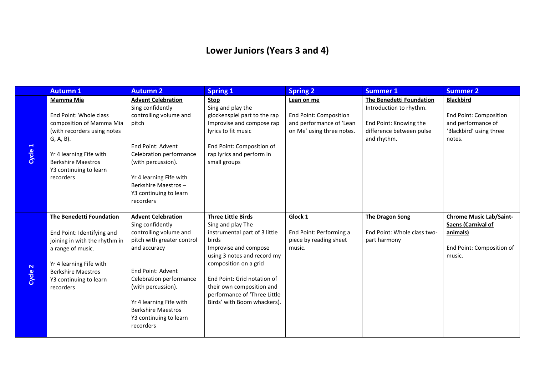# **Lower Juniors (Years 3 and 4)**

|                               | <b>Autumn 1</b>                                                                                                                                                                                             | <b>Autumn 2</b>                                                                                                                                                                                                                                                                            | <b>Spring 1</b>                                                                                                                                                                                                                                                                                      | <b>Spring 2</b>                                                                                      | <b>Summer 1</b>                                                                                                                 | <b>Summer 2</b>                                                                                              |
|-------------------------------|-------------------------------------------------------------------------------------------------------------------------------------------------------------------------------------------------------------|--------------------------------------------------------------------------------------------------------------------------------------------------------------------------------------------------------------------------------------------------------------------------------------------|------------------------------------------------------------------------------------------------------------------------------------------------------------------------------------------------------------------------------------------------------------------------------------------------------|------------------------------------------------------------------------------------------------------|---------------------------------------------------------------------------------------------------------------------------------|--------------------------------------------------------------------------------------------------------------|
| $\blacktriangleleft$<br>Cycle | Mamma Mia<br>End Point: Whole class<br>composition of Mamma Mia<br>(with recorders using notes<br>G, A, B).<br>Yr 4 learning Fife with<br><b>Berkshire Maestros</b><br>Y3 continuing to learn<br>recorders  | <b>Advent Celebration</b><br>Sing confidently<br>controlling volume and<br>pitch<br>End Point: Advent<br>Celebration performance<br>(with percussion).<br>Yr 4 learning Fife with<br>Berkshire Maestros-<br>Y3 continuing to learn<br>recorders                                            | Stop<br>Sing and play the<br>glockenspiel part to the rap<br>Improvise and compose rap<br>lyrics to fit music<br>End Point: Composition of<br>rap lyrics and perform in<br>small groups                                                                                                              | Lean on me<br><b>End Point: Composition</b><br>and performance of 'Lean<br>on Me' using three notes. | <b>The Benedetti Foundation</b><br>Introduction to rhythm.<br>End Point: Knowing the<br>difference between pulse<br>and rhythm. | <b>Blackbird</b><br><b>End Point: Composition</b><br>and performance of<br>'Blackbird' using three<br>notes. |
| $\mathbf{\tilde{z}}$<br>Cycle | The Benedetti Foundation<br>End Point: Identifying and<br>joining in with the rhythm in<br>a range of music.<br>Yr 4 learning Fife with<br><b>Berkshire Maestros</b><br>Y3 continuing to learn<br>recorders | <b>Advent Celebration</b><br>Sing confidently<br>controlling volume and<br>pitch with greater control<br>and accuracy<br>End Point: Advent<br>Celebration performance<br>(with percussion).<br>Yr 4 learning Fife with<br><b>Berkshire Maestros</b><br>Y3 continuing to learn<br>recorders | <b>Three Little Birds</b><br>Sing and play The<br>instrumental part of 3 little<br>birds<br>Improvise and compose<br>using 3 notes and record my<br>composition on a grid<br>End Point: Grid notation of<br>their own composition and<br>performance of 'Three Little<br>Birds' with Boom whackers). | Glock 1<br>End Point: Performing a<br>piece by reading sheet<br>music.                               | <b>The Dragon Song</b><br>End Point: Whole class two-<br>part harmony                                                           | <b>Chrome Music Lab/Saint-</b><br>Saens (Carnival of<br>animals)<br>End Point: Composition of<br>music.      |